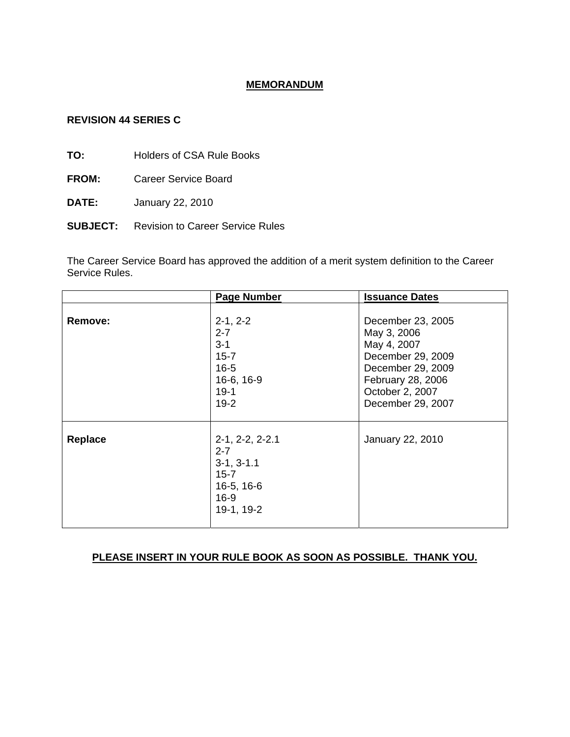## **MEMORANDUM**

### **REVISION 44 SERIES C**

**TO:** Holders of CSA Rule Books

- **FROM:** Career Service Board
- **DATE:** January 22, 2010
- **SUBJECT:** Revision to Career Service Rules

The Career Service Board has approved the addition of a merit system definition to the Career Service Rules.

|         | <b>Page Number</b>                                                                             | <b>Issuance Dates</b>                                                          |
|---------|------------------------------------------------------------------------------------------------|--------------------------------------------------------------------------------|
| Remove: | $2-1, 2-2$<br>$2 - 7$<br>$3 - 1$<br>$15 - 7$                                                   | December 23, 2005<br>May 3, 2006<br>May 4, 2007<br>December 29, 2009           |
|         | $16 - 5$<br>16-6, 16-9<br>$19-1$<br>$19-2$                                                     | December 29, 2009<br>February 28, 2006<br>October 2, 2007<br>December 29, 2007 |
| Replace | $2-1, 2-2, 2-2.1$<br>$2 - 7$<br>$3-1, 3-1.1$<br>$15 - 7$<br>16-5, 16-6<br>$16-9$<br>19-1, 19-2 | January 22, 2010                                                               |

# **PLEASE INSERT IN YOUR RULE BOOK AS SOON AS POSSIBLE. THANK YOU.**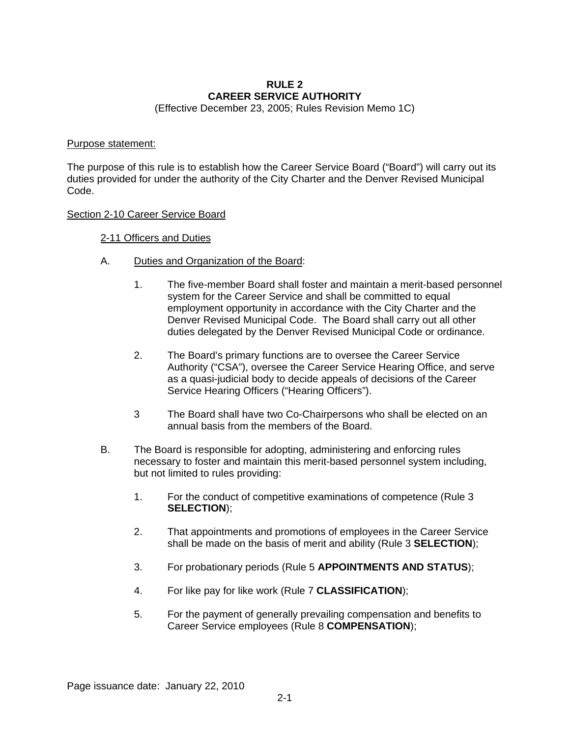## **RULE 2 CAREER SERVICE AUTHORITY**

(Effective December 23, 2005; Rules Revision Memo 1C)

#### Purpose statement:

The purpose of this rule is to establish how the Career Service Board ("Board") will carry out its duties provided for under the authority of the City Charter and the Denver Revised Municipal Code.

### Section 2-10 Career Service Board

## 2-11 Officers and Duties

- A. Duties and Organization of the Board:
	- 1. The five-member Board shall foster and maintain a merit-based personnel system for the Career Service and shall be committed to equal employment opportunity in accordance with the City Charter and the Denver Revised Municipal Code. The Board shall carry out all other duties delegated by the Denver Revised Municipal Code or ordinance.
	- 2. The Board's primary functions are to oversee the Career Service Authority ("CSA"), oversee the Career Service Hearing Office, and serve as a quasi-judicial body to decide appeals of decisions of the Career Service Hearing Officers ("Hearing Officers").
	- 3 The Board shall have two Co-Chairpersons who shall be elected on an annual basis from the members of the Board.
- B. The Board is responsible for adopting, administering and enforcing rules necessary to foster and maintain this merit-based personnel system including, but not limited to rules providing:
	- 1. For the conduct of competitive examinations of competence (Rule 3 **SELECTION**);
	- 2. That appointments and promotions of employees in the Career Service shall be made on the basis of merit and ability (Rule 3 **SELECTION**);
	- 3. For probationary periods (Rule 5 **APPOINTMENTS AND STATUS**);
	- 4. For like pay for like work (Rule 7 **CLASSIFICATION**);
	- 5. For the payment of generally prevailing compensation and benefits to Career Service employees (Rule 8 **COMPENSATION**);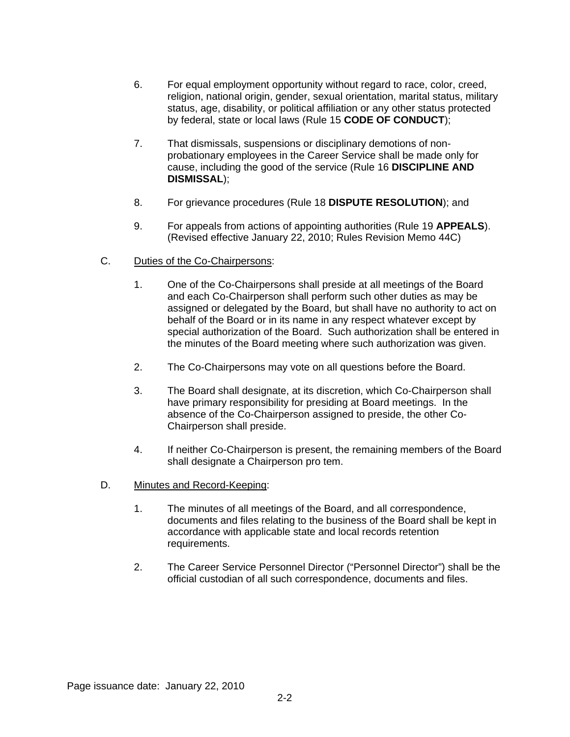- 6. For equal employment opportunity without regard to race, color, creed, religion, national origin, gender, sexual orientation, marital status, military status, age, disability, or political affiliation or any other status protected by federal, state or local laws (Rule 15 **CODE OF CONDUCT**);
- 7. That dismissals, suspensions or disciplinary demotions of nonprobationary employees in the Career Service shall be made only for cause, including the good of the service (Rule 16 **DISCIPLINE AND DISMISSAL**);
- 8. For grievance procedures (Rule 18 **DISPUTE RESOLUTION**); and
- 9. For appeals from actions of appointing authorities (Rule 19 **APPEALS**). (Revised effective January 22, 2010; Rules Revision Memo 44C)
- C. Duties of the Co-Chairpersons:
	- 1. One of the Co-Chairpersons shall preside at all meetings of the Board and each Co-Chairperson shall perform such other duties as may be assigned or delegated by the Board, but shall have no authority to act on behalf of the Board or in its name in any respect whatever except by special authorization of the Board. Such authorization shall be entered in the minutes of the Board meeting where such authorization was given.
	- 2. The Co-Chairpersons may vote on all questions before the Board.
	- 3. The Board shall designate, at its discretion, which Co-Chairperson shall have primary responsibility for presiding at Board meetings. In the absence of the Co-Chairperson assigned to preside, the other Co-Chairperson shall preside.
	- 4. If neither Co-Chairperson is present, the remaining members of the Board shall designate a Chairperson pro tem.
- D. Minutes and Record-Keeping:
	- 1. The minutes of all meetings of the Board, and all correspondence, documents and files relating to the business of the Board shall be kept in accordance with applicable state and local records retention requirements.
	- 2. The Career Service Personnel Director ("Personnel Director") shall be the official custodian of all such correspondence, documents and files.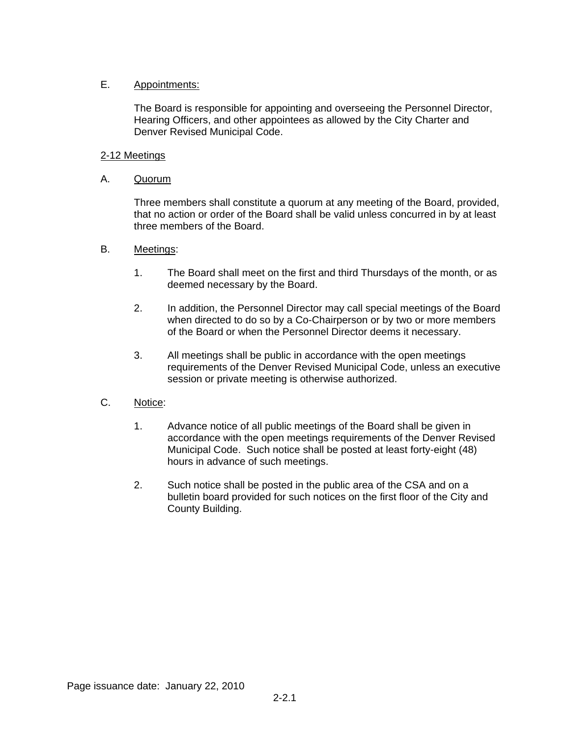## E. Appointments:

The Board is responsible for appointing and overseeing the Personnel Director, Hearing Officers, and other appointees as allowed by the City Charter and Denver Revised Municipal Code.

## 2-12 Meetings

## A. Quorum

Three members shall constitute a quorum at any meeting of the Board, provided, that no action or order of the Board shall be valid unless concurred in by at least three members of the Board.

## B. Meetings:

- 1. The Board shall meet on the first and third Thursdays of the month, or as deemed necessary by the Board.
- 2. In addition, the Personnel Director may call special meetings of the Board when directed to do so by a Co-Chairperson or by two or more members of the Board or when the Personnel Director deems it necessary.
- 3. All meetings shall be public in accordance with the open meetings requirements of the Denver Revised Municipal Code, unless an executive session or private meeting is otherwise authorized.

## C. Notice:

- 1. Advance notice of all public meetings of the Board shall be given in accordance with the open meetings requirements of the Denver Revised Municipal Code. Such notice shall be posted at least forty-eight (48) hours in advance of such meetings.
- 2. Such notice shall be posted in the public area of the CSA and on a bulletin board provided for such notices on the first floor of the City and County Building.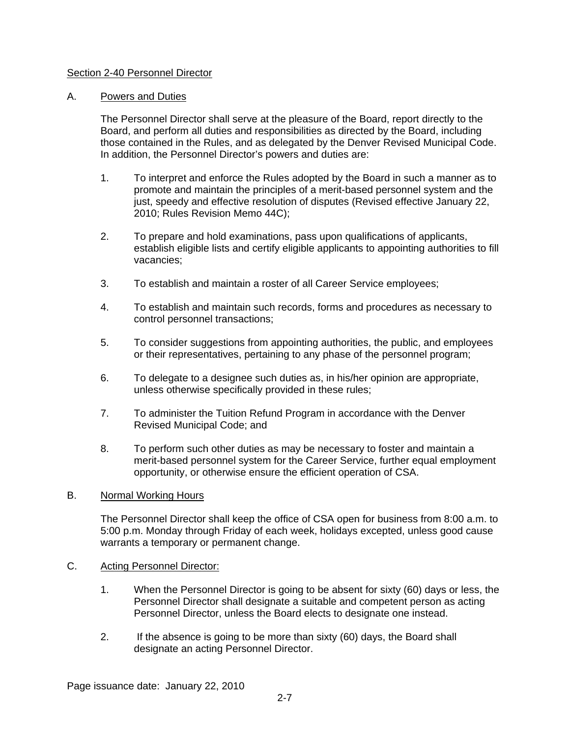## Section 2-40 Personnel Director

### A. Powers and Duties

The Personnel Director shall serve at the pleasure of the Board, report directly to the Board, and perform all duties and responsibilities as directed by the Board, including those contained in the Rules, and as delegated by the Denver Revised Municipal Code. In addition, the Personnel Director's powers and duties are:

- 1. To interpret and enforce the Rules adopted by the Board in such a manner as to promote and maintain the principles of a merit-based personnel system and the just, speedy and effective resolution of disputes (Revised effective January 22, 2010; Rules Revision Memo 44C);
- 2. To prepare and hold examinations, pass upon qualifications of applicants, establish eligible lists and certify eligible applicants to appointing authorities to fill vacancies;
- 3. To establish and maintain a roster of all Career Service employees;
- 4. To establish and maintain such records, forms and procedures as necessary to control personnel transactions;
- 5. To consider suggestions from appointing authorities, the public, and employees or their representatives, pertaining to any phase of the personnel program;
- 6. To delegate to a designee such duties as, in his/her opinion are appropriate, unless otherwise specifically provided in these rules;
- 7. To administer the Tuition Refund Program in accordance with the Denver Revised Municipal Code; and
- 8. To perform such other duties as may be necessary to foster and maintain a merit-based personnel system for the Career Service, further equal employment opportunity, or otherwise ensure the efficient operation of CSA.

#### B. Normal Working Hours

The Personnel Director shall keep the office of CSA open for business from 8:00 a.m. to 5:00 p.m. Monday through Friday of each week, holidays excepted, unless good cause warrants a temporary or permanent change.

#### C. Acting Personnel Director:

- 1. When the Personnel Director is going to be absent for sixty (60) days or less, the Personnel Director shall designate a suitable and competent person as acting Personnel Director, unless the Board elects to designate one instead.
- 2. If the absence is going to be more than sixty (60) days, the Board shall designate an acting Personnel Director.

Page issuance date: January 22, 2010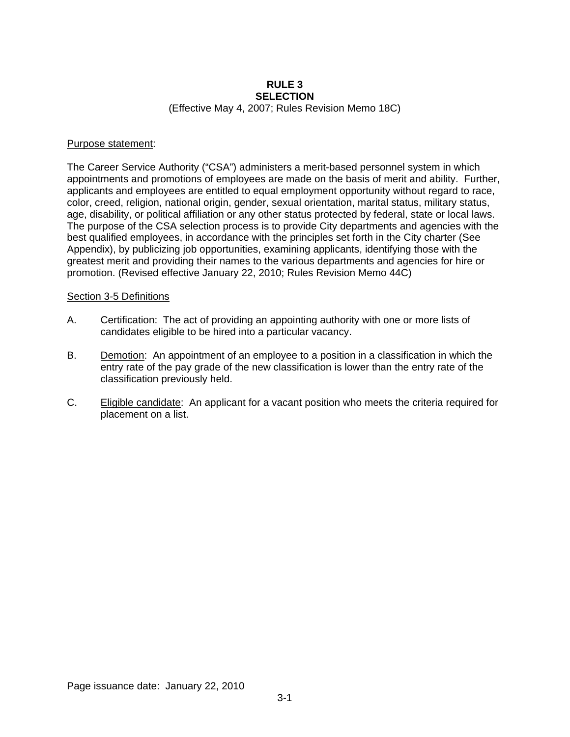#### **RULE 3 SELECTION**  (Effective May 4, 2007; Rules Revision Memo 18C)

#### Purpose statement:

The Career Service Authority ("CSA") administers a merit-based personnel system in which appointments and promotions of employees are made on the basis of merit and ability. Further, applicants and employees are entitled to equal employment opportunity without regard to race, color, creed, religion, national origin, gender, sexual orientation, marital status, military status, age, disability, or political affiliation or any other status protected by federal, state or local laws. The purpose of the CSA selection process is to provide City departments and agencies with the best qualified employees, in accordance with the principles set forth in the City charter (See Appendix), by publicizing job opportunities, examining applicants, identifying those with the greatest merit and providing their names to the various departments and agencies for hire or promotion. (Revised effective January 22, 2010; Rules Revision Memo 44C)

#### Section 3-5 Definitions

- A. Certification: The act of providing an appointing authority with one or more lists of candidates eligible to be hired into a particular vacancy.
- B. Demotion: An appointment of an employee to a position in a classification in which the entry rate of the pay grade of the new classification is lower than the entry rate of the classification previously held.
- C. Eligible candidate: An applicant for a vacant position who meets the criteria required for placement on a list.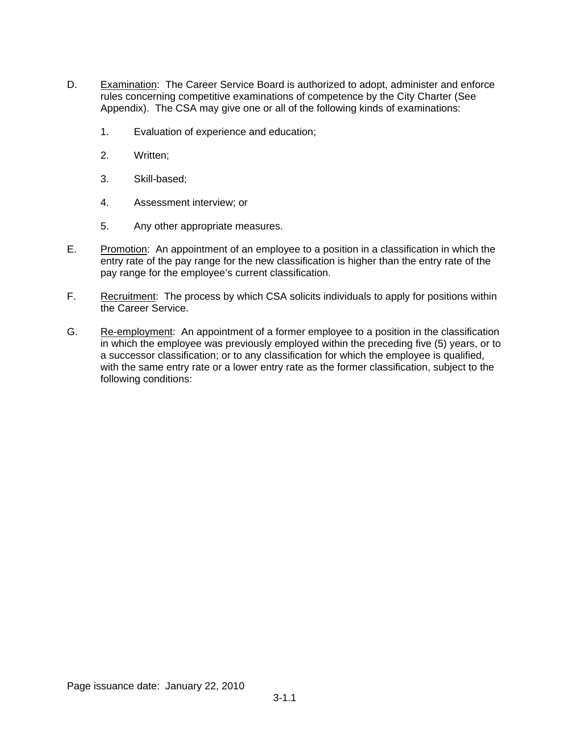- D. Examination: The Career Service Board is authorized to adopt, administer and enforce rules concerning competitive examinations of competence by the City Charter (See Appendix). The CSA may give one or all of the following kinds of examinations:
	- 1. Evaluation of experience and education;
	- 2. Written;
	- 3. Skill-based;
	- 4. Assessment interview; or
	- 5. Any other appropriate measures.
- E. Promotion: An appointment of an employee to a position in a classification in which the entry rate of the pay range for the new classification is higher than the entry rate of the pay range for the employee's current classification.
- F. Recruitment: The process by which CSA solicits individuals to apply for positions within the Career Service.
- G. Re-employment: An appointment of a former employee to a position in the classification in which the employee was previously employed within the preceding five (5) years, or to a successor classification; or to any classification for which the employee is qualified, with the same entry rate or a lower entry rate as the former classification, subject to the following conditions: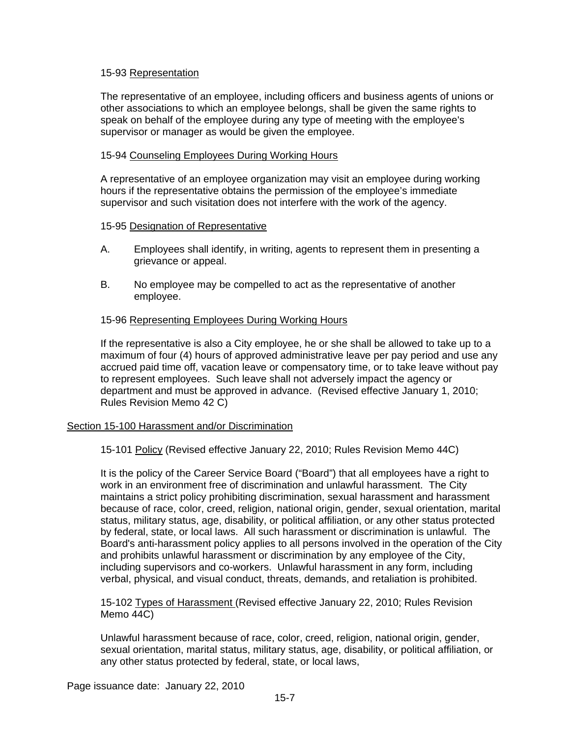### 15-93 Representation

The representative of an employee, including officers and business agents of unions or other associations to which an employee belongs, shall be given the same rights to speak on behalf of the employee during any type of meeting with the employee's supervisor or manager as would be given the employee.

### 15-94 Counseling Employees During Working Hours

A representative of an employee organization may visit an employee during working hours if the representative obtains the permission of the employee's immediate supervisor and such visitation does not interfere with the work of the agency.

### 15-95 Designation of Representative

- A. Employees shall identify, in writing, agents to represent them in presenting a grievance or appeal.
- B. No employee may be compelled to act as the representative of another employee.

## 15-96 Representing Employees During Working Hours

If the representative is also a City employee, he or she shall be allowed to take up to a maximum of four (4) hours of approved administrative leave per pay period and use any accrued paid time off, vacation leave or compensatory time, or to take leave without pay to represent employees. Such leave shall not adversely impact the agency or department and must be approved in advance. (Revised effective January 1, 2010; Rules Revision Memo 42 C)

## Section 15-100 Harassment and/or Discrimination

15-101 Policy (Revised effective January 22, 2010; Rules Revision Memo 44C)

It is the policy of the Career Service Board ("Board") that all employees have a right to work in an environment free of discrimination and unlawful harassment. The City maintains a strict policy prohibiting discrimination, sexual harassment and harassment because of race, color, creed, religion, national origin, gender, sexual orientation, marital status, military status, age, disability, or political affiliation, or any other status protected by federal, state, or local laws. All such harassment or discrimination is unlawful. The Board's anti-harassment policy applies to all persons involved in the operation of the City and prohibits unlawful harassment or discrimination by any employee of the City, including supervisors and co-workers. Unlawful harassment in any form, including verbal, physical, and visual conduct, threats, demands, and retaliation is prohibited.

15-102 Types of Harassment (Revised effective January 22, 2010; Rules Revision Memo 44C)

Unlawful harassment because of race, color, creed, religion, national origin, gender, sexual orientation, marital status, military status, age, disability, or political affiliation, or any other status protected by federal, state, or local laws,

Page issuance date: January 22, 2010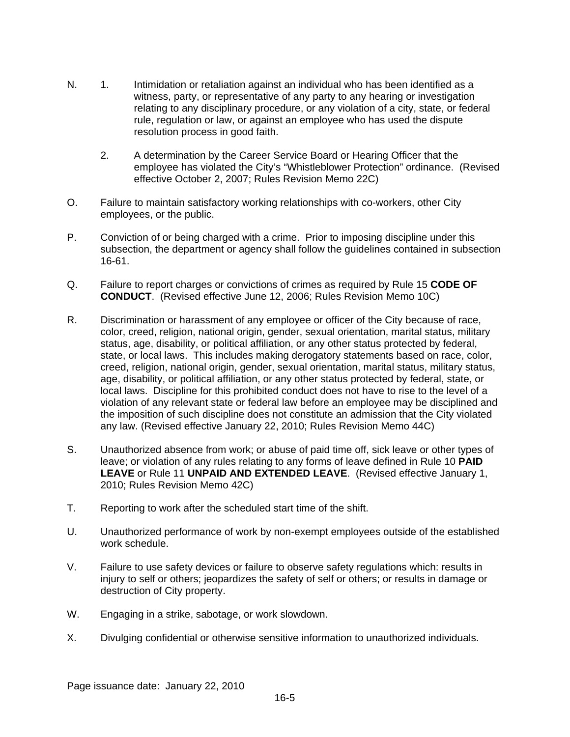- N. 1. Intimidation or retaliation against an individual who has been identified as a witness, party, or representative of any party to any hearing or investigation relating to any disciplinary procedure, or any violation of a city, state, or federal rule, regulation or law, or against an employee who has used the dispute resolution process in good faith.
	- 2. A determination by the Career Service Board or Hearing Officer that the employee has violated the City's "Whistleblower Protection" ordinance. (Revised effective October 2, 2007; Rules Revision Memo 22C)
- O. Failure to maintain satisfactory working relationships with co-workers, other City employees, or the public.
- P. Conviction of or being charged with a crime. Prior to imposing discipline under this subsection, the department or agency shall follow the guidelines contained in subsection 16-61.
- Q. Failure to report charges or convictions of crimes as required by Rule 15 **CODE OF CONDUCT**. (Revised effective June 12, 2006; Rules Revision Memo 10C)
- R. Discrimination or harassment of any employee or officer of the City because of race, color, creed, religion, national origin, gender, sexual orientation, marital status, military status, age, disability, or political affiliation, or any other status protected by federal, state, or local laws. This includes making derogatory statements based on race, color, creed, religion, national origin, gender, sexual orientation, marital status, military status, age, disability, or political affiliation, or any other status protected by federal, state, or local laws. Discipline for this prohibited conduct does not have to rise to the level of a violation of any relevant state or federal law before an employee may be disciplined and the imposition of such discipline does not constitute an admission that the City violated any law. (Revised effective January 22, 2010; Rules Revision Memo 44C)
- S. Unauthorized absence from work; or abuse of paid time off, sick leave or other types of leave; or violation of any rules relating to any forms of leave defined in Rule 10 **PAID LEAVE** or Rule 11 **UNPAID AND EXTENDED LEAVE**. (Revised effective January 1, 2010; Rules Revision Memo 42C)
- T. Reporting to work after the scheduled start time of the shift.
- U. Unauthorized performance of work by non-exempt employees outside of the established work schedule.
- V. Failure to use safety devices or failure to observe safety regulations which: results in injury to self or others; jeopardizes the safety of self or others; or results in damage or destruction of City property.
- W. Engaging in a strike, sabotage, or work slowdown.
- X. Divulging confidential or otherwise sensitive information to unauthorized individuals.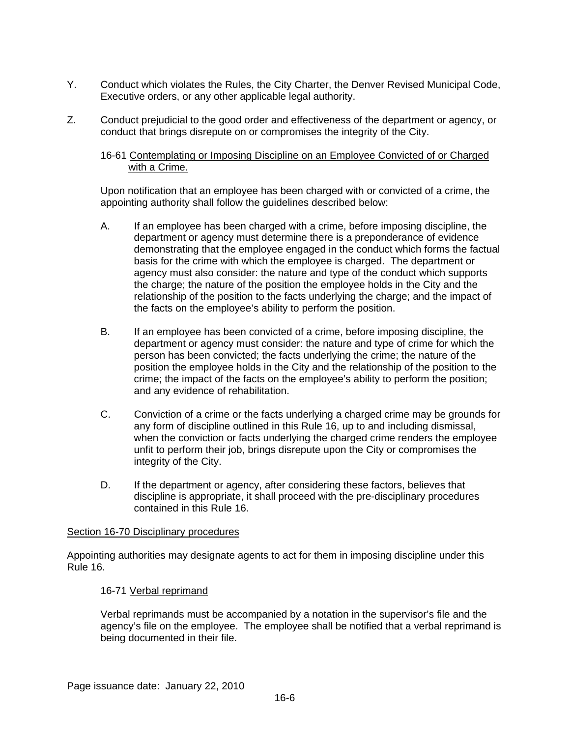- Y. Conduct which violates the Rules, the City Charter, the Denver Revised Municipal Code, Executive orders, or any other applicable legal authority.
- Z. Conduct prejudicial to the good order and effectiveness of the department or agency, or conduct that brings disrepute on or compromises the integrity of the City.

16-61 Contemplating or Imposing Discipline on an Employee Convicted of or Charged with a Crime.

Upon notification that an employee has been charged with or convicted of a crime, the appointing authority shall follow the guidelines described below:

- A. If an employee has been charged with a crime, before imposing discipline, the department or agency must determine there is a preponderance of evidence demonstrating that the employee engaged in the conduct which forms the factual basis for the crime with which the employee is charged. The department or agency must also consider: the nature and type of the conduct which supports the charge; the nature of the position the employee holds in the City and the relationship of the position to the facts underlying the charge; and the impact of the facts on the employee's ability to perform the position.
- B. If an employee has been convicted of a crime, before imposing discipline, the department or agency must consider: the nature and type of crime for which the person has been convicted; the facts underlying the crime; the nature of the position the employee holds in the City and the relationship of the position to the crime; the impact of the facts on the employee's ability to perform the position; and any evidence of rehabilitation.
- C. Conviction of a crime or the facts underlying a charged crime may be grounds for any form of discipline outlined in this Rule 16, up to and including dismissal, when the conviction or facts underlying the charged crime renders the employee unfit to perform their job, brings disrepute upon the City or compromises the integrity of the City.
- D. If the department or agency, after considering these factors, believes that discipline is appropriate, it shall proceed with the pre-disciplinary procedures contained in this Rule 16.

#### Section 16-70 Disciplinary procedures

Appointing authorities may designate agents to act for them in imposing discipline under this Rule 16.

## 16-71 Verbal reprimand

Verbal reprimands must be accompanied by a notation in the supervisor's file and the agency's file on the employee. The employee shall be notified that a verbal reprimand is being documented in their file.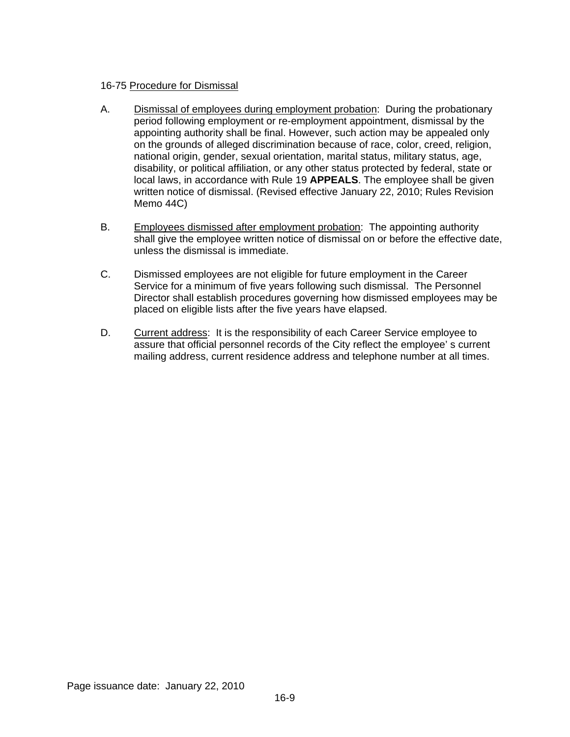## 16-75 Procedure for Dismissal

- A. Dismissal of employees during employment probation: During the probationary period following employment or re-employment appointment, dismissal by the appointing authority shall be final. However, such action may be appealed only on the grounds of alleged discrimination because of race, color, creed, religion, national origin, gender, sexual orientation, marital status, military status, age, disability, or political affiliation, or any other status protected by federal, state or local laws, in accordance with Rule 19 **APPEALS**. The employee shall be given written notice of dismissal. (Revised effective January 22, 2010; Rules Revision Memo 44C)
- B. Employees dismissed after employment probation: The appointing authority shall give the employee written notice of dismissal on or before the effective date, unless the dismissal is immediate.
- C. Dismissed employees are not eligible for future employment in the Career Service for a minimum of five years following such dismissal. The Personnel Director shall establish procedures governing how dismissed employees may be placed on eligible lists after the five years have elapsed.
- D. Current address: It is the responsibility of each Career Service employee to assure that official personnel records of the City reflect the employee' s current mailing address, current residence address and telephone number at all times.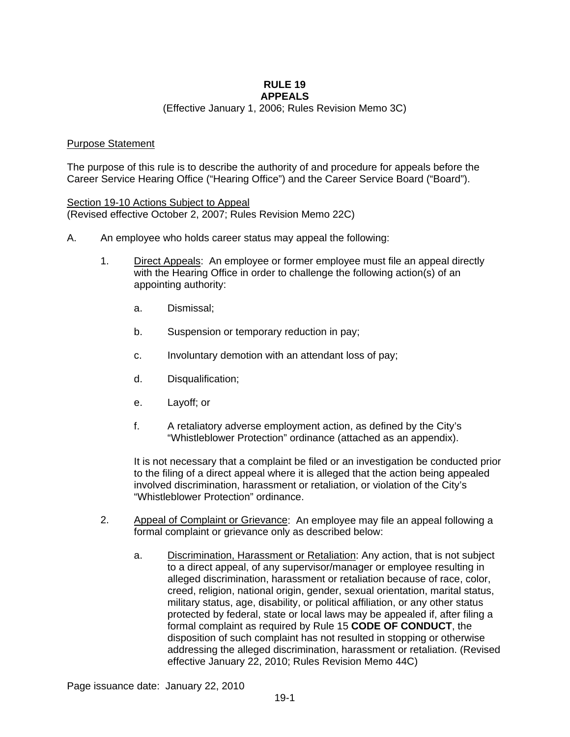#### **RULE 19 APPEALS**

(Effective January 1, 2006; Rules Revision Memo 3C)

### Purpose Statement

The purpose of this rule is to describe the authority of and procedure for appeals before the Career Service Hearing Office ("Hearing Office") and the Career Service Board ("Board").

Section 19-10 Actions Subject to Appeal (Revised effective October 2, 2007; Rules Revision Memo 22C)

- A. An employee who holds career status may appeal the following:
	- 1. Direct Appeals: An employee or former employee must file an appeal directly with the Hearing Office in order to challenge the following action(s) of an appointing authority:
		- a. Dismissal;
		- b. Suspension or temporary reduction in pay;
		- c. Involuntary demotion with an attendant loss of pay;
		- d. Disqualification;
		- e. Layoff; or
		- f. A retaliatory adverse employment action, as defined by the City's "Whistleblower Protection" ordinance (attached as an appendix).

It is not necessary that a complaint be filed or an investigation be conducted prior to the filing of a direct appeal where it is alleged that the action being appealed involved discrimination, harassment or retaliation, or violation of the City's "Whistleblower Protection" ordinance.

- 2. Appeal of Complaint or Grievance: An employee may file an appeal following a formal complaint or grievance only as described below:
	- a. Discrimination, Harassment or Retaliation: Any action, that is not subject to a direct appeal, of any supervisor/manager or employee resulting in alleged discrimination, harassment or retaliation because of race, color, creed, religion, national origin, gender, sexual orientation, marital status, military status, age, disability, or political affiliation, or any other status protected by federal, state or local laws may be appealed if, after filing a formal complaint as required by Rule 15 **CODE OF CONDUCT**, the disposition of such complaint has not resulted in stopping or otherwise addressing the alleged discrimination, harassment or retaliation. (Revised effective January 22, 2010; Rules Revision Memo 44C)

Page issuance date: January 22, 2010